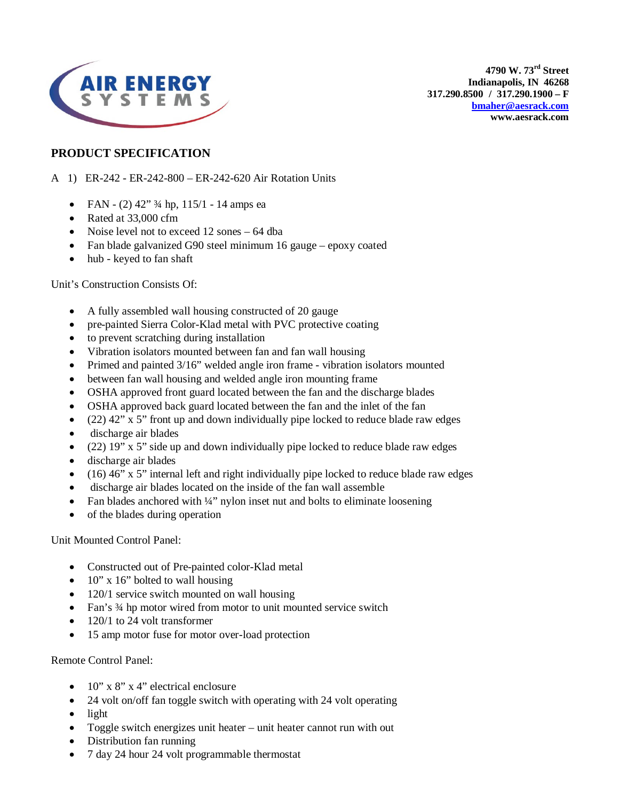

**4790 W. 73rd Street Indianapolis, IN 46268 317.290.8500 / 317.290.1900 – F [bmaher@aesrack.com](mailto:bmaher@aesrack.com) www.aesrack.com**

## **PRODUCT SPECIFICATION**

## A 1) ER-242 - ER-242-800 – ER-242-620 Air Rotation Units

- FAN (2)  $42''$   $\frac{3}{4}$  hp,  $115/1$  14 amps ea
- Rated at 33,000 cfm
- Noise level not to exceed 12 sones 64 dba
- Fan blade galvanized G90 steel minimum 16 gauge epoxy coated
- hub keyed to fan shaft

Unit's Construction Consists Of:

- A fully assembled wall housing constructed of 20 gauge
- pre-painted Sierra Color-Klad metal with PVC protective coating
- to prevent scratching during installation
- Vibration isolators mounted between fan and fan wall housing
- Primed and painted 3/16" welded angle iron frame vibration isolators mounted
- between fan wall housing and welded angle iron mounting frame
- OSHA approved front guard located between the fan and the discharge blades
- OSHA approved back guard located between the fan and the inlet of the fan
- $(22)$  42" x 5" front up and down individually pipe locked to reduce blade raw edges
- discharge air blades
- (22)  $19"$  x 5" side up and down individually pipe locked to reduce blade raw edges
- discharge air blades
- $\bullet$  (16) 46" x 5" internal left and right individually pipe locked to reduce blade raw edges
- discharge air blades located on the inside of the fan wall assemble
- Fan blades anchored with ¼" nylon inset nut and bolts to eliminate loosening
- of the blades during operation

Unit Mounted Control Panel:

- Constructed out of Pre-painted color-Klad metal
- $10''$  x 16" bolted to wall housing
- 120/1 service switch mounted on wall housing
- Fan's 3/4 hp motor wired from motor to unit mounted service switch
- 120/1 to 24 volt transformer
- 15 amp motor fuse for motor over-load protection

Remote Control Panel:

- $10'' \times 8'' \times 4''$  electrical enclosure
- 24 volt on/off fan toggle switch with operating with 24 volt operating
- light
- Toggle switch energizes unit heater unit heater cannot run with out
- Distribution fan running
- 7 day 24 hour 24 volt programmable thermostat